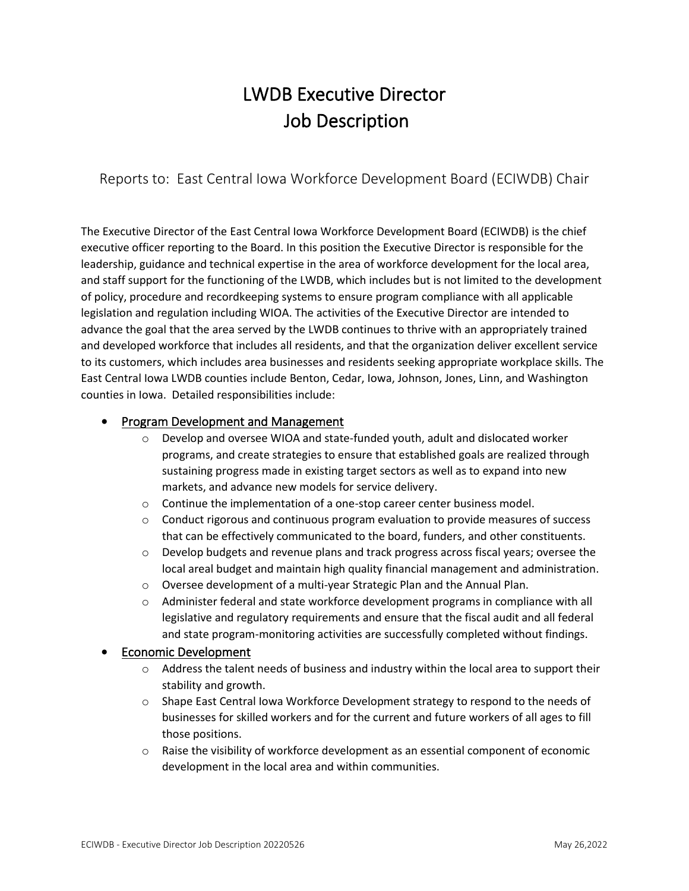# LWDB Executive Director Job Description

Reports to: East Central Iowa Workforce Development Board (ECIWDB) Chair

The Executive Director of the East Central Iowa Workforce Development Board (ECIWDB) is the chief executive officer reporting to the Board. In this position the Executive Director is responsible for the leadership, guidance and technical expertise in the area of workforce development for the local area, and staff support for the functioning of the LWDB, which includes but is not limited to the development of policy, procedure and recordkeeping systems to ensure program compliance with all applicable legislation and regulation including WIOA. The activities of the Executive Director are intended to advance the goal that the area served by the LWDB continues to thrive with an appropriately trained and developed workforce that includes all residents, and that the organization deliver excellent service to its customers, which includes area businesses and residents seeking appropriate workplace skills. The East Central Iowa LWDB counties include Benton, Cedar, Iowa, Johnson, Jones, Linn, and Washington counties in Iowa. Detailed responsibilities include:

## • Program Development and Management

- o Develop and oversee WIOA and state-funded youth, adult and dislocated worker programs, and create strategies to ensure that established goals are realized through sustaining progress made in existing target sectors as well as to expand into new markets, and advance new models for service delivery.
- $\circ$  Continue the implementation of a one-stop career center business model.
- $\circ$  Conduct rigorous and continuous program evaluation to provide measures of success that can be effectively communicated to the board, funders, and other constituents.
- $\circ$  Develop budgets and revenue plans and track progress across fiscal years; oversee the local areal budget and maintain high quality financial management and administration.
- o Oversee development of a multi-year Strategic Plan and the Annual Plan.
- $\circ$  Administer federal and state workforce development programs in compliance with all legislative and regulatory requirements and ensure that the fiscal audit and all federal and state program-monitoring activities are successfully completed without findings.

### • Economic Development

- $\circ$  Address the talent needs of business and industry within the local area to support their stability and growth.
- $\circ$  Shape East Central Iowa Workforce Development strategy to respond to the needs of businesses for skilled workers and for the current and future workers of all ages to fill those positions.
- $\circ$  Raise the visibility of workforce development as an essential component of economic development in the local area and within communities.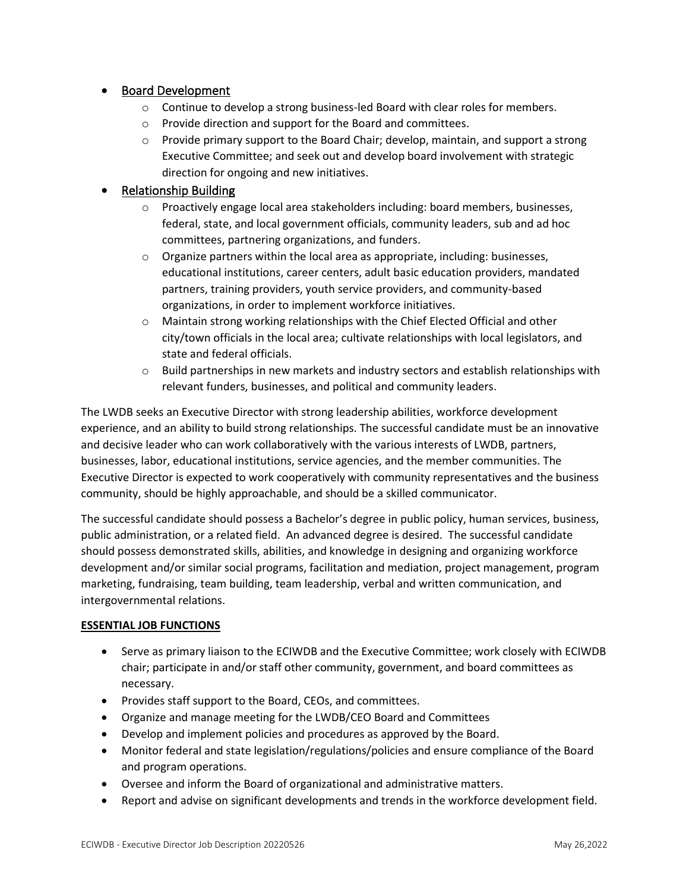## • Board Development

- $\circ$  Continue to develop a strong business-led Board with clear roles for members.
- o Provide direction and support for the Board and committees.
- $\circ$  Provide primary support to the Board Chair; develop, maintain, and support a strong Executive Committee; and seek out and develop board involvement with strategic direction for ongoing and new initiatives.

## • Relationship Building

- $\circ$  Proactively engage local area stakeholders including: board members, businesses, federal, state, and local government officials, community leaders, sub and ad hoc committees, partnering organizations, and funders.
- $\circ$  Organize partners within the local area as appropriate, including: businesses, educational institutions, career centers, adult basic education providers, mandated partners, training providers, youth service providers, and community-based organizations, in order to implement workforce initiatives.
- o Maintain strong working relationships with the Chief Elected Official and other city/town officials in the local area; cultivate relationships with local legislators, and state and federal officials.
- o Build partnerships in new markets and industry sectors and establish relationships with relevant funders, businesses, and political and community leaders.

The LWDB seeks an Executive Director with strong leadership abilities, workforce development experience, and an ability to build strong relationships. The successful candidate must be an innovative and decisive leader who can work collaboratively with the various interests of LWDB, partners, businesses, labor, educational institutions, service agencies, and the member communities. The Executive Director is expected to work cooperatively with community representatives and the business community, should be highly approachable, and should be a skilled communicator.

The successful candidate should possess a Bachelor's degree in public policy, human services, business, public administration, or a related field. An advanced degree is desired. The successful candidate should possess demonstrated skills, abilities, and knowledge in designing and organizing workforce development and/or similar social programs, facilitation and mediation, project management, program marketing, fundraising, team building, team leadership, verbal and written communication, and intergovernmental relations.

### **ESSENTIAL JOB FUNCTIONS**

- Serve as primary liaison to the ECIWDB and the Executive Committee; work closely with ECIWDB chair; participate in and/or staff other community, government, and board committees as necessary.
- Provides staff support to the Board, CEOs, and committees.
- Organize and manage meeting for the LWDB/CEO Board and Committees
- Develop and implement policies and procedures as approved by the Board.
- Monitor federal and state legislation/regulations/policies and ensure compliance of the Board and program operations.
- Oversee and inform the Board of organizational and administrative matters.
- Report and advise on significant developments and trends in the workforce development field.